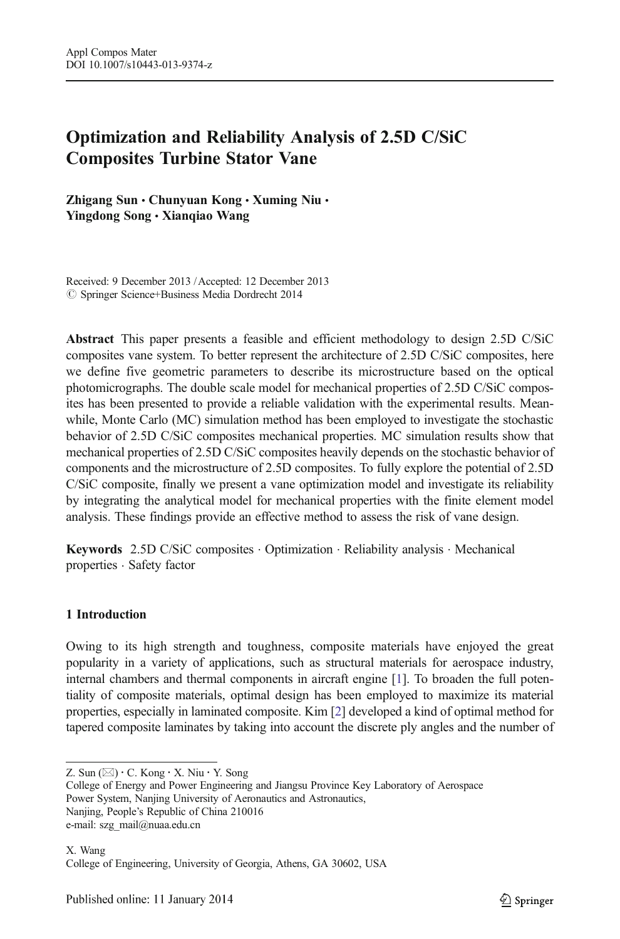# Optimization and Reliability Analysis of 2.5D C/SiC Composites Turbine Stator Vane

Zhigang Sun · Chunyuan Kong · Xuming Niu · Yingdong Song & Xianqiao Wang

Received: 9 December 2013 /Accepted: 12 December 2013  $\oslash$  Springer Science+Business Media Dordrecht 2014

Abstract This paper presents a feasible and efficient methodology to design 2.5D C/SiC composites vane system. To better represent the architecture of 2.5D C/SiC composites, here we define five geometric parameters to describe its microstructure based on the optical photomicrographs. The double scale model for mechanical properties of 2.5D C/SiC composites has been presented to provide a reliable validation with the experimental results. Meanwhile, Monte Carlo (MC) simulation method has been employed to investigate the stochastic behavior of 2.5D C/SiC composites mechanical properties. MC simulation results show that mechanical properties of 2.5D C/SiC composites heavily depends on the stochastic behavior of components and the microstructure of 2.5D composites. To fully explore the potential of 2.5D C/SiC composite, finally we present a vane optimization model and investigate its reliability by integrating the analytical model for mechanical properties with the finite element model analysis. These findings provide an effective method to assess the risk of vane design.

Keywords 2.5D C/SiC composites . Optimization . Reliability analysis . Mechanical properties . Safety factor

# 1 Introduction

Owing to its high strength and toughness, composite materials have enjoyed the great popularity in a variety of applications, such as structural materials for aerospace industry, internal chambers and thermal components in aircraft engine [[1](#page-13-0)]. To broaden the full potentiality of composite materials, optimal design has been employed to maximize its material properties, especially in laminated composite. Kim [\[2](#page-13-0)] developed a kind of optimal method for tapered composite laminates by taking into account the discrete ply angles and the number of

Z. Sun  $(\boxtimes) \cdot C$ . Kong  $\cdot$  X. Niu  $\cdot$  Y. Song

College of Energy and Power Engineering and Jiangsu Province Key Laboratory of Aerospace Power System, Nanjing University of Aeronautics and Astronautics, Nanjing, People's Republic of China 210016

e-mail: szg\_mail@nuaa.edu.cn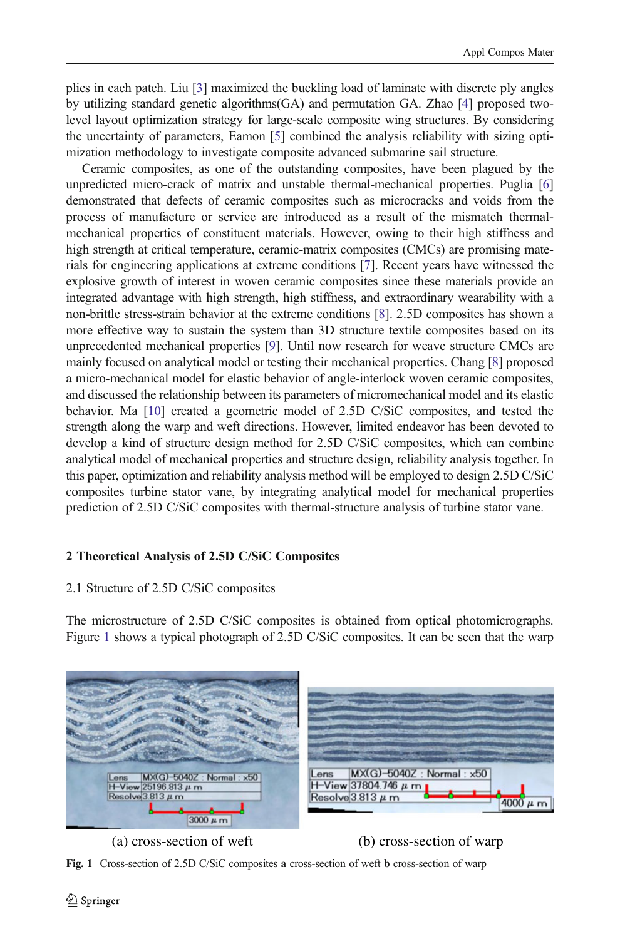plies in each patch. Liu [\[3\]](#page-13-0) maximized the buckling load of laminate with discrete ply angles by utilizing standard genetic algorithms(GA) and permutation GA. Zhao [[4](#page-13-0)] proposed twolevel layout optimization strategy for large-scale composite wing structures. By considering the uncertainty of parameters, Eamon [\[5](#page-13-0)] combined the analysis reliability with sizing optimization methodology to investigate composite advanced submarine sail structure.

Ceramic composites, as one of the outstanding composites, have been plagued by the unpredicted micro-crack of matrix and unstable thermal-mechanical properties. Puglia [[6\]](#page-13-0) demonstrated that defects of ceramic composites such as microcracks and voids from the process of manufacture or service are introduced as a result of the mismatch thermalmechanical properties of constituent materials. However, owing to their high stiffness and high strength at critical temperature, ceramic-matrix composites (CMCs) are promising materials for engineering applications at extreme conditions [\[7\]](#page-13-0). Recent years have witnessed the explosive growth of interest in woven ceramic composites since these materials provide an integrated advantage with high strength, high stiffness, and extraordinary wearability with a non-brittle stress-strain behavior at the extreme conditions [\[8](#page-14-0)]. 2.5D composites has shown a more effective way to sustain the system than 3D structure textile composites based on its unprecedented mechanical properties [[9](#page-14-0)]. Until now research for weave structure CMCs are mainly focused on analytical model or testing their mechanical properties. Chang [\[8\]](#page-14-0) proposed a micro-mechanical model for elastic behavior of angle-interlock woven ceramic composites, and discussed the relationship between its parameters of micromechanical model and its elastic behavior. Ma [[10](#page-14-0)] created a geometric model of 2.5D C/SiC composites, and tested the strength along the warp and weft directions. However, limited endeavor has been devoted to develop a kind of structure design method for 2.5D C/SiC composites, which can combine analytical model of mechanical properties and structure design, reliability analysis together. In this paper, optimization and reliability analysis method will be employed to design 2.5D C/SiC composites turbine stator vane, by integrating analytical model for mechanical properties prediction of 2.5D C/SiC composites with thermal-structure analysis of turbine stator vane.

# 2 Theoretical Analysis of 2.5D C/SiC Composites

# 2.1 Structure of 2.5D C/SiC composites

The microstructure of 2.5D C/SiC composites is obtained from optical photomicrographs. Figure 1 shows a typical photograph of 2.5D C/SiC composites. It can be seen that the warp



# (a) cross-section of weft (b) cross-section of warp

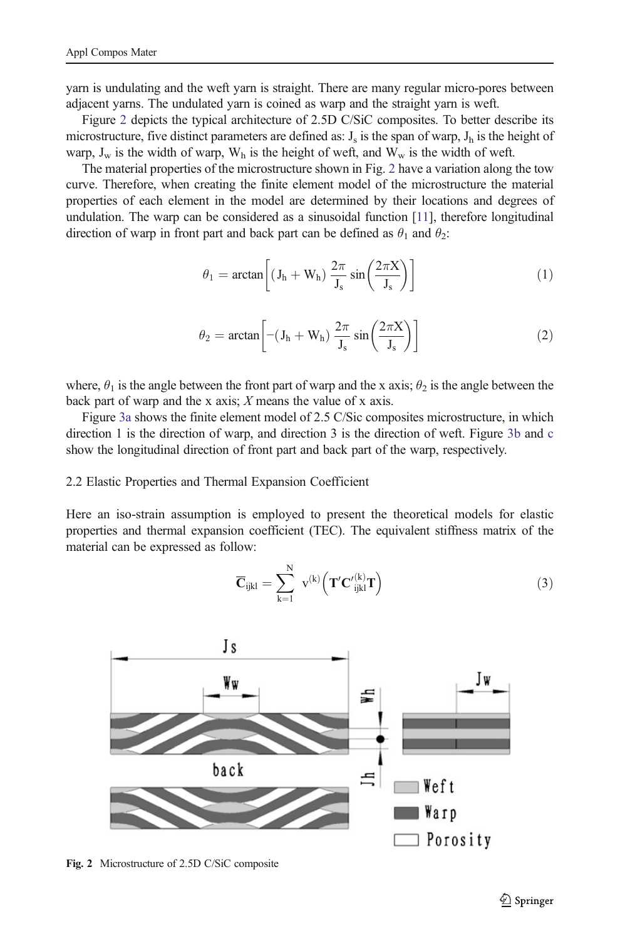<span id="page-2-0"></span>yarn is undulating and the weft yarn is straight. There are many regular micro-pores between adjacent yarns. The undulated yarn is coined as warp and the straight yarn is weft.

Figure 2 depicts the typical architecture of 2.5D C/SiC composites. To better describe its microstructure, five distinct parameters are defined as:  $J_s$  is the span of warp,  $J_h$  is the height of warp,  $J_w$  is the width of warp,  $W_h$  is the height of weft, and  $W_w$  is the width of weft.

The material properties of the microstructure shown in Fig. 2 have a variation along the tow curve. Therefore, when creating the finite element model of the microstructure the material properties of each element in the model are determined by their locations and degrees of undulation. The warp can be considered as a sinusoidal function [\[11](#page-14-0)], therefore longitudinal direction of warp in front part and back part can be defined as  $\theta_1$  and  $\theta_2$ :

$$
\theta_1 = \arctan\left[ (J_h + W_h) \frac{2\pi}{J_s} \sin\left(\frac{2\pi X}{J_s}\right) \right]
$$
 (1)

$$
\theta_2 = \arctan\left[ -(J_h + W_h) \frac{2\pi}{J_s} \sin\left(\frac{2\pi X}{J_s}\right) \right]
$$
 (2)

where,  $\theta_1$  is the angle between the front part of warp and the x axis;  $\theta_2$  is the angle between the back part of warp and the x axis;  $X$  means the value of x axis.

Figure [3a](#page-3-0) shows the finite element model of 2.5 C/Sic composites microstructure, in which direction 1 is the direction of warp, and direction 3 is the direction of weft. Figure [3b](#page-3-0) and [c](#page-3-0) show the longitudinal direction of front part and back part of the warp, respectively.

#### 2.2 Elastic Properties and Thermal Expansion Coefficient

Here an iso-strain assumption is employed to present the theoretical models for elastic properties and thermal expansion coefficient (TEC). The equivalent stiffness matrix of the material can be expressed as follow:

$$
\overline{\mathbf{C}}_{ijkl} = \sum_{k=1}^{N} v^{(k)} \left( \mathbf{T'} \mathbf{C'}_{ijkl}^{(k)} \mathbf{T} \right)
$$
(3)



Fig. 2 Microstructure of 2.5D C/SiC composite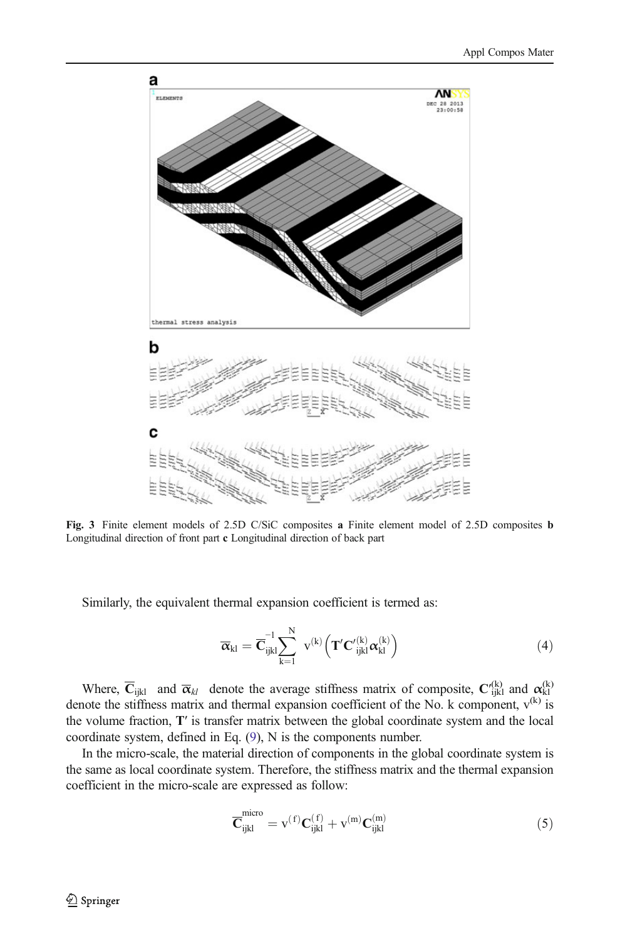<span id="page-3-0"></span>

Fig. 3 Finite element models of 2.5D C/SiC composites a Finite element model of 2.5D composites b Longitudinal direction of front part c Longitudinal direction of back part

Similarly, the equivalent thermal expansion coefficient is termed as:

$$
\overline{\boldsymbol{\alpha}}_{kl} = \overline{\mathbf{C}}_{ijkl}^{-1} \sum_{k=1}^{N} v^{(k)} \left( \mathbf{T}' \mathbf{C'}_{ijkl}^{(k)} \boldsymbol{\alpha}_{kl}^{(k)} \right)
$$
(4)

Where,  $\overline{C}_{ijkl}$  and  $\overline{\alpha}_{kl}$  denote the average stiffness matrix of composite,  $C'_{ijkl}^{(k)}$  and  $\alpha_{kl}^{(k)}$ denote the stiffness matrix and thermal expansion coefficient of the No. k component,  $v^{(k)}$  is the volume fraction, T′ is transfer matrix between the global coordinate system and the local coordinate system, defined in Eq. [\(9\)](#page-4-0), N is the components number.

In the micro-scale, the material direction of components in the global coordinate system is the same as local coordinate system. Therefore, the stiffness matrix and the thermal expansion coefficient in the micro-scale are expressed as follow:

$$
\overline{\mathbf{C}}_{ijkl}^{micro} = v^{(f)} \mathbf{C}_{ijkl}^{(f)} + v^{(m)} \mathbf{C}_{ijkl}^{(m)}
$$
(5)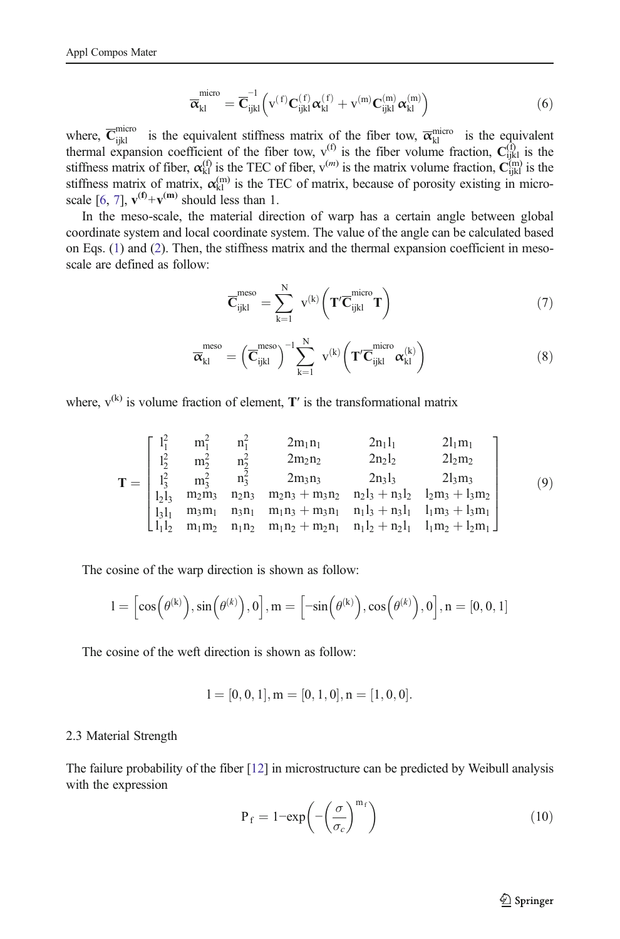$$
\overline{\overline{\alpha}}_{kl}^{micro} = \overline{\mathbf{C}}_{ijkl}^{-1} \left( v^{(f)} \mathbf{C}_{ijkl}^{(f)} \alpha_{kl}^{(f)} + v^{(m)} \mathbf{C}_{ijkl}^{(m)} \alpha_{kl}^{(m)} \right) \tag{6}
$$

<span id="page-4-0"></span>where,  $\overline{C}_{ijkl}^{micro}$  is the equivalent stiffness matrix of the fiber tow,  $\overline{\alpha}_{kl}^{micro}$  is the equivalent thermal expansion coefficient of the fiber tow,  $v^{(f)}$  is the fiber volume fraction,  $C^{(f)}_{ijkl}$  is the stiffness matrix of fiber,  $\alpha_{kl}^{(f)}$  is the TEC of fiber,  $v^{(m)}$  is the matrix volume fraction,  $C_{ijkl}^{(m)}$  is the stiffness matrix of matrix,  $\alpha_{kl}^{(m)}$  is the TEC of matrix, because of porosity existing in micro-scale [[6](#page-13-0), [7](#page-13-0)],  $\mathbf{v}^{(\mathbf{f})} + \mathbf{v}^{(\mathbf{m})}$  should less than 1.

In the meso-scale, the material direction of warp has a certain angle between global coordinate system and local coordinate system. The value of the angle can be calculated based on Eqs. [\(1](#page-2-0)) and ([2](#page-2-0)). Then, the stiffness matrix and the thermal expansion coefficient in mesoscale are defined as follow:

$$
\overline{\mathbf{C}}_{ijkl}^{meso} = \sum_{k=1}^{N} \ v^{(k)} \bigg( \mathbf{T}' \overline{\mathbf{C}}_{ijkl}^{micro} \mathbf{T} \bigg)
$$
 (7)

$$
\overline{\overline{\alpha}}_{kl}^{meso} = \left(\overline{\mathbf{C}}_{ijkl}^{meso}\right)^{-1} \sum_{k=1}^{N} \mathbf{v}^{(k)} \left(\mathbf{T}' \overline{\mathbf{C}}_{ijkl}^{micro} \alpha_{kl}^{(k)}\right)
$$
(8)

where,  $v^{(k)}$  is volume fraction of element,  $T'$  is the transformational matrix

$$
\mathbf{T} = \begin{bmatrix} I_1^2 & m_1^2 & n_1^2 & 2m_1n_1 & 2n_1l_1 & 2l_1m_1 \\ I_2^2 & m_2^2 & n_2^2 & 2m_2n_2 & 2n_2l_2 & 2l_2m_2 \\ I_3^2 & m_3^2 & n_3^2 & 2m_3n_3 & 2n_3l_3 & 2l_3m_3 \\ I_2l_3 & m_2m_3 & n_2n_3 & m_2n_3 + m_3n_2 & n_2l_3 + n_3l_2 & l_2m_3 + l_3m_2 \\ I_3l_1 & m_3m_1 & n_3n_1 & m_1n_3 + m_3n_1 & n_1l_3 + n_3l_1 & l_1m_3 + l_3m_1 \\ I_1l_2 & m_1m_2 & n_1n_2 & m_1n_2 + m_2n_1 & n_1l_2 + n_2l_1 & l_1m_2 + l_2m_1 \end{bmatrix} \qquad (9)
$$

The cosine of the warp direction is shown as follow:

$$
l = \left[\cos\left(\theta^{(k)}\right), \sin\left(\theta^{(k)}\right), 0\right], m = \left[-\sin\left(\theta^{(k)}\right), \cos\left(\theta^{(k)}\right), 0\right], n = [0, 0, 1]
$$

The cosine of the weft direction is shown as follow:

$$
l = [0, 0, 1], m = [0, 1, 0], n = [1, 0, 0].
$$

#### 2.3 Material Strength

The failure probability of the fiber [\[12](#page-14-0)] in microstructure can be predicted by Weibull analysis with the expression

$$
P_f = 1 - \exp\left(-\left(\frac{\sigma}{\sigma_c}\right)^{m_f}\right) \tag{10}
$$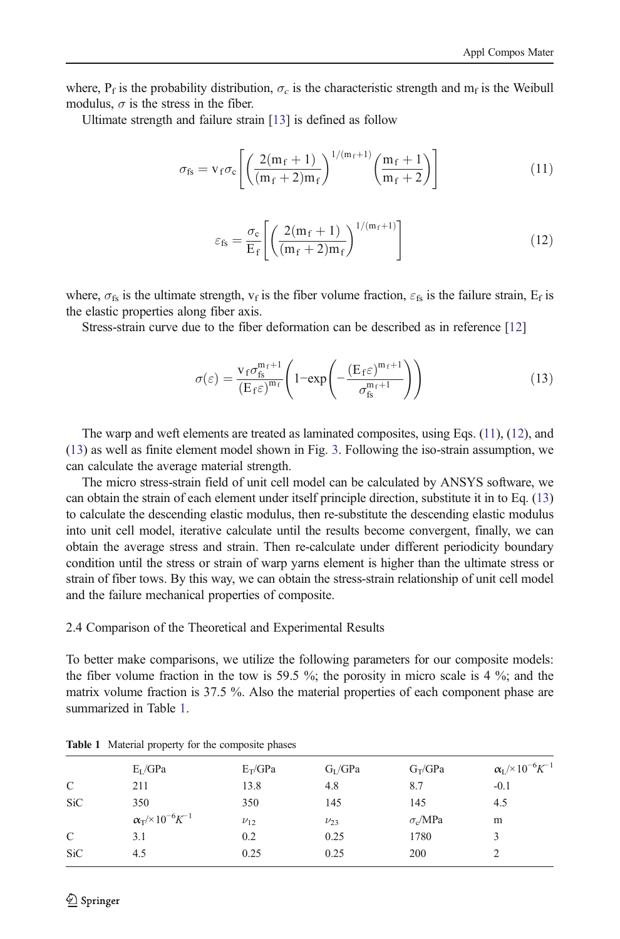where,  $P_f$  is the probability distribution,  $\sigma_c$  is the characteristic strength and  $m_f$  is the Weibull modulus,  $\sigma$  is the stress in the fiber.

Ultimate strength and failure strain [\[13\]](#page-14-0) is defined as follow

$$
\sigma_{\rm fs} = v_{\rm f} \sigma_{\rm c} \left[ \left( \frac{2(m_{\rm f}+1)}{(m_{\rm f}+2)m_{\rm f}} \right)^{1/(m_{\rm f}+1)} \left( \frac{m_{\rm f}+1}{m_{\rm f}+2} \right) \right]
$$
(11)

$$
\varepsilon_{\rm fs} = \frac{\sigma_{\rm c}}{\rm E}_{\rm f} \left[ \left( \frac{2(m_{\rm f} + 1)}{(m_{\rm f} + 2)m_{\rm f}} \right)^{1/(m_{\rm f} + 1)} \right] \tag{12}
$$

where,  $\sigma_{fs}$  is the ultimate strength,  $v_f$  is the fiber volume fraction,  $\varepsilon_{fs}$  is the failure strain,  $E_f$  is the elastic properties along fiber axis.

Stress-strain curve due to the fiber deformation can be described as in reference [\[12](#page-14-0)]

$$
\sigma(\varepsilon) = \frac{\mathbf{v}_{f}\sigma_{\mathbf{fs}}^{\mathbf{m}_{f}+1}}{\left(\mathbf{E}_{f}\varepsilon\right)^{\mathbf{m}_{f}}} \left(1 - \exp\left(-\frac{\left(\mathbf{E}_{f}\varepsilon\right)^{\mathbf{m}_{f}+1}}{\sigma_{\mathbf{fs}}^{\mathbf{m}_{f}+1}}\right)\right)
$$
(13)

The warp and weft elements are treated as laminated composites, using Eqs. (11), (12), and (13) as well as finite element model shown in Fig. [3.](#page-3-0) Following the iso-strain assumption, we can calculate the average material strength.

The micro stress-strain field of unit cell model can be calculated by ANSYS software, we can obtain the strain of each element under itself principle direction, substitute it in to Eq. (13) to calculate the descending elastic modulus, then re-substitute the descending elastic modulus into unit cell model, iterative calculate until the results become convergent, finally, we can obtain the average stress and strain. Then re-calculate under different periodicity boundary condition until the stress or strain of warp yarns element is higher than the ultimate stress or strain of fiber tows. By this way, we can obtain the stress-strain relationship of unit cell model and the failure mechanical properties of composite.

2.4 Comparison of the Theoretical and Experimental Results

To better make comparisons, we utilize the following parameters for our composite models: the fiber volume fraction in the tow is 59.5 %; the porosity in micro scale is 4 %; and the matrix volume fraction is 37.5 %. Also the material properties of each component phase are summarized in Table 1.

|               | $E_I/GPa$                                     | $E_T/GPa$  | $G_I/GPa$  | $G_T/GPa$      | $\alpha_L$ /×10 <sup>-6</sup> K <sup>-1</sup> |
|---------------|-----------------------------------------------|------------|------------|----------------|-----------------------------------------------|
| C             | 211                                           | 13.8       | 4.8        | 8.7            | $-0.1$                                        |
| <b>SiC</b>    | 350                                           | 350        | 145        | 145            | 4.5                                           |
|               | $\alpha_T$ /×10 <sup>-6</sup> K <sup>-1</sup> | $\nu_{12}$ | $\nu_{23}$ | $\sigma_c/MPa$ | m                                             |
| $\mathcal{C}$ | 3.1                                           | 0.2        | 0.25       | 1780           | 3                                             |
| <b>SiC</b>    | 4.5                                           | 0.25       | 0.25       | 200            |                                               |

Table 1 Material property for the composite phases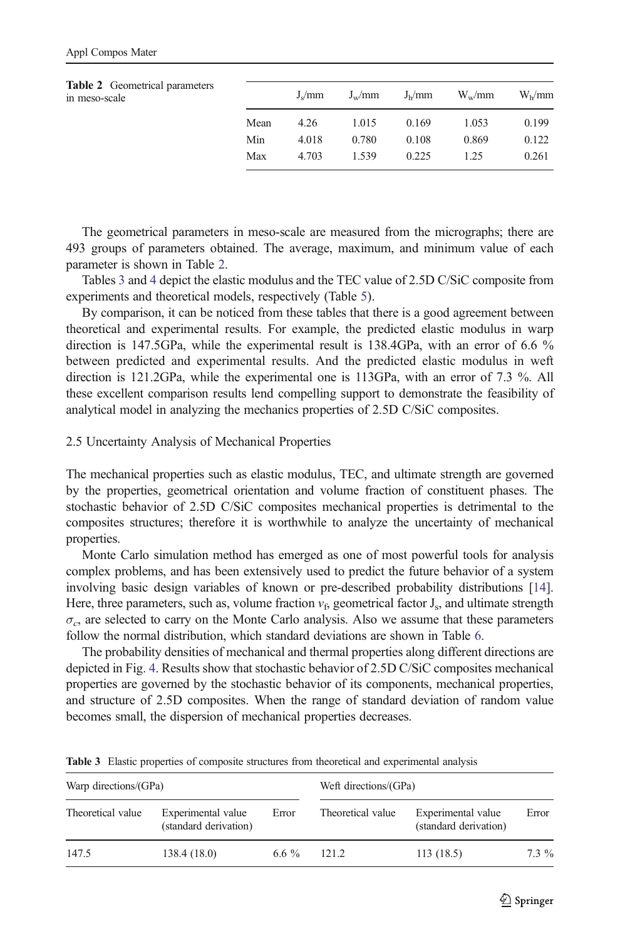| <b>Table 2</b> Geometrical parameters<br>in meso-scale |      | $J_{\rm s}/mm$ | $J_{\rm w}/\rm{mm}$ | J <sub>h</sub> /mm | $W_w/mm$ | W <sub>b</sub> /mm |
|--------------------------------------------------------|------|----------------|---------------------|--------------------|----------|--------------------|
|                                                        | Mean | 4.26           | 1.015               | 0.169              | 1.053    | 0.199              |
|                                                        | Min  | 4.018          | 0.780               | 0.108              | 0.869    | 0.122              |
|                                                        | Max  | 4.703          | 1.539               | 0.225              | 1 25     | 0.261              |

The geometrical parameters in meso-scale are measured from the micrographs; there are 493 groups of parameters obtained. The average, maximum, and minimum value of each parameter is shown in Table 2.

Tables 3 and [4](#page-7-0) depict the elastic modulus and the TEC value of 2.5D C/SiC composite from experiments and theoretical models, respectively (Table [5](#page-7-0)).

By comparison, it can be noticed from these tables that there is a good agreement between theoretical and experimental results. For example, the predicted elastic modulus in warp direction is 147.5GPa, while the experimental result is 138.4GPa, with an error of 6.6 % between predicted and experimental results. And the predicted elastic modulus in weft direction is 121.2GPa, while the experimental one is 113GPa, with an error of 7.3 %. All these excellent comparison results lend compelling support to demonstrate the feasibility of analytical model in analyzing the mechanics properties of 2.5D C/SiC composites.

#### 2.5 Uncertainty Analysis of Mechanical Properties

The mechanical properties such as elastic modulus, TEC, and ultimate strength are governed by the properties, geometrical orientation and volume fraction of constituent phases. The stochastic behavior of 2.5D C/SiC composites mechanical properties is detrimental to the composites structures; therefore it is worthwhile to analyze the uncertainty of mechanical properties.

Monte Carlo simulation method has emerged as one of most powerful tools for analysis complex problems, and has been extensively used to predict the future behavior of a system involving basic design variables of known or pre-described probability distributions [\[14](#page-14-0)]. Here, three parameters, such as, volume fraction  $v_f$ , geometrical factor  $J_s$ , and ultimate strength  $\sigma_c$ , are selected to carry on the Monte Carlo analysis. Also we assume that these parameters follow the normal distribution, which standard deviations are shown in Table [6](#page-8-0).

The probability densities of mechanical and thermal properties along different directions are depicted in Fig. [4](#page-8-0). Results show that stochastic behavior of 2.5D C/SiC composites mechanical properties are governed by the stochastic behavior of its components, mechanical properties, and structure of 2.5D composites. When the range of standard deviation of random value becomes small, the dispersion of mechanical properties decreases.

| Warp directions/(GPa) |                                             |          | Weft directions/(GPa) |                                             |         |  |
|-----------------------|---------------------------------------------|----------|-----------------------|---------------------------------------------|---------|--|
| Theoretical value     | Experimental value<br>(standard derivation) | Error    | Theoretical value     | Experimental value<br>(standard derivation) | Error   |  |
| 147.5                 | 138.4(18.0)                                 | 6.6 $\%$ | 121.2                 | 113(18.5)                                   | $7.3\%$ |  |

Table 3 Elastic properties of composite structures from theoretical and experimental analysis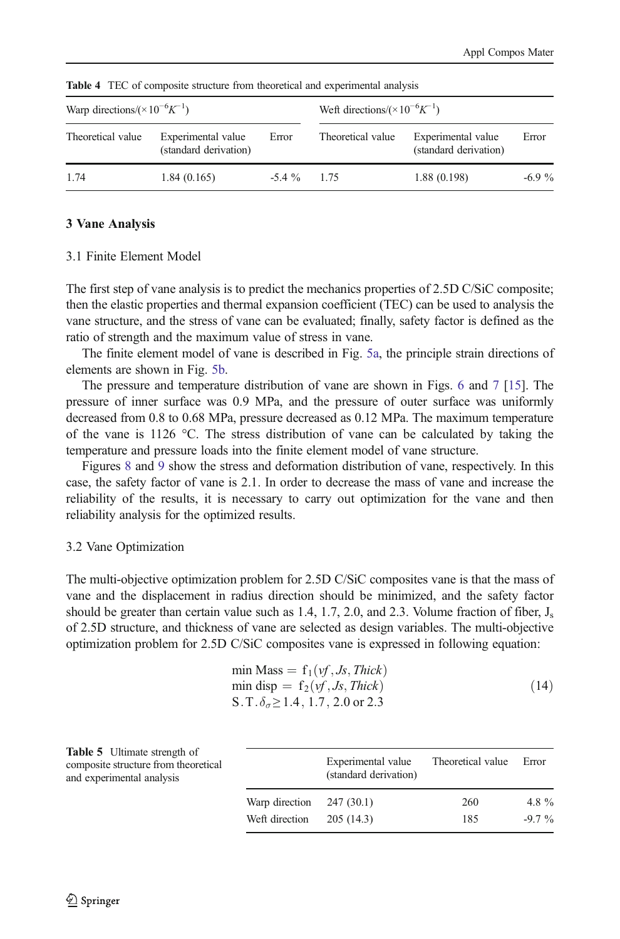| Warp directions/ $(\times 10^{-6} K^{-1})$                       |             |               | Weft directions/ $(\times 10^{-6} K^{-1})$                       |             |          |  |
|------------------------------------------------------------------|-------------|---------------|------------------------------------------------------------------|-------------|----------|--|
| Theoretical value<br>Experimental value<br>(standard derivation) |             | Error         | Theoretical value<br>Experimental value<br>(standard derivation) |             | Error    |  |
| 1.74                                                             | 1.84(0.165) | $-5.4\%$ 1.75 |                                                                  | 1.88(0.198) | $-6.9\%$ |  |

<span id="page-7-0"></span>Table 4 TEC of composite structure from theoretical and experimental analysis

#### 3 Vane Analysis

## 3.1 Finite Element Model

The first step of vane analysis is to predict the mechanics properties of 2.5D C/SiC composite; then the elastic properties and thermal expansion coefficient (TEC) can be used to analysis the vane structure, and the stress of vane can be evaluated; finally, safety factor is defined as the ratio of strength and the maximum value of stress in vane.

The finite element model of vane is described in Fig. [5a,](#page-9-0) the principle strain directions of elements are shown in Fig. [5b](#page-9-0).

The pressure and temperature distribution of vane are shown in Figs. [6](#page-9-0) and [7](#page-10-0) [\[15\]](#page-14-0). The pressure of inner surface was 0.9 MPa, and the pressure of outer surface was uniformly decreased from 0.8 to 0.68 MPa, pressure decreased as 0.12 MPa. The maximum temperature of the vane is 1126 °C. The stress distribution of vane can be calculated by taking the temperature and pressure loads into the finite element model of vane structure.

Figures [8](#page-10-0) and [9](#page-11-0) show the stress and deformation distribution of vane, respectively. In this case, the safety factor of vane is 2.1. In order to decrease the mass of vane and increase the reliability of the results, it is necessary to carry out optimization for the vane and then reliability analysis for the optimized results.

#### 3.2 Vane Optimization

The multi-objective optimization problem for 2.5D C/SiC composites vane is that the mass of vane and the displacement in radius direction should be minimized, and the safety factor should be greater than certain value such as 1.4, 1.7, 2.0, and 2.3. Volume fraction of fiber,  $J_s$ of 2.5D structure, and thickness of vane are selected as design variables. The multi-objective optimization problem for 2.5D C/SiC composites vane is expressed in following equation:

min Mass = 
$$
f_1(yf, Js, Thick)
$$
  
min disp =  $f_2(yf, Js, Thick)$   
S. T.  $\delta_{\sigma} \ge 1.4, 1.7, 2.0$  or 2.3 (14)

| <b>Table 5</b> Ultimate strength of<br>composite structure from theoretical<br>and experimental analysis |                | Experimental value<br>(standard derivation) | Theoretical value | Error    |  |
|----------------------------------------------------------------------------------------------------------|----------------|---------------------------------------------|-------------------|----------|--|
|                                                                                                          | Warp direction | 247 (30.1)                                  | 260               | 4.8 $%$  |  |
|                                                                                                          | Weft direction | 205(14.3)                                   | 185               | $-9.7\%$ |  |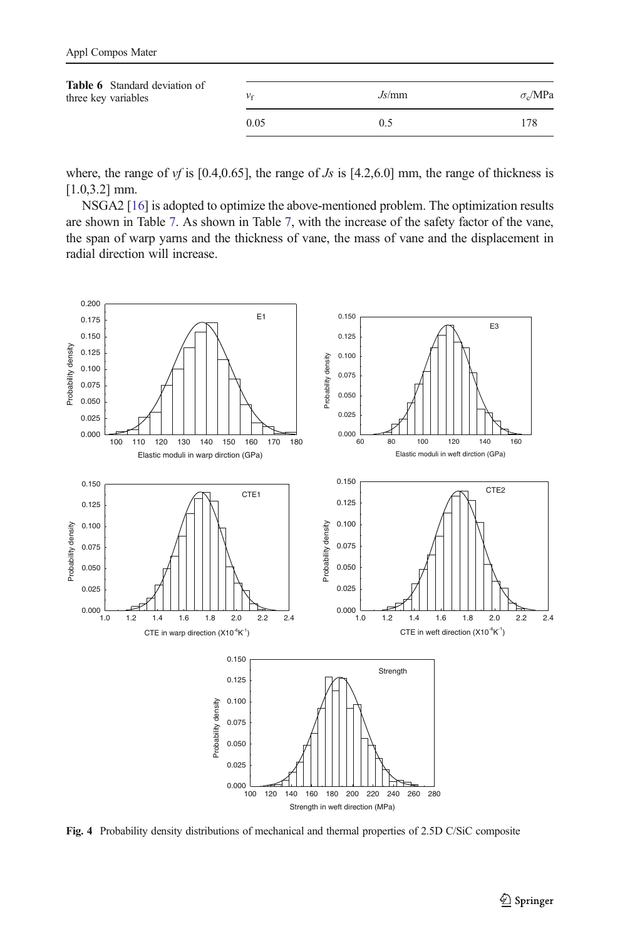<span id="page-8-0"></span>

| <b>Table 6</b> Standard deviation of<br>three key variables | Vf   | Js/mm | $\sigma$ <sub>o</sub> /MPa |
|-------------------------------------------------------------|------|-------|----------------------------|
|                                                             | 0.05 | 0.5   | 178                        |

where, the range of vf is [0.4,0.65], the range of Js is [4.2,6.0] mm, the range of thickness is [1.0,3.2] mm.

NSGA2 [\[16](#page-14-0)] is adopted to optimize the above-mentioned problem. The optimization results are shown in Table [7.](#page-11-0) As shown in Table [7,](#page-11-0) with the increase of the safety factor of the vane, the span of warp yarns and the thickness of vane, the mass of vane and the displacement in radial direction will increase.



Fig. 4 Probability density distributions of mechanical and thermal properties of 2.5D C/SiC composite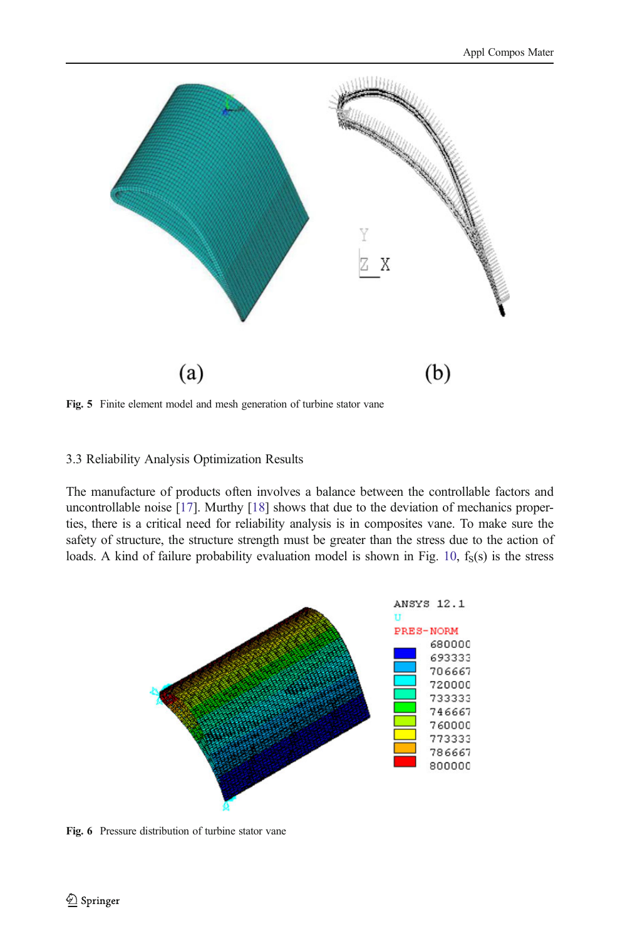<span id="page-9-0"></span>

Fig. 5 Finite element model and mesh generation of turbine stator vane

### 3.3 Reliability Analysis Optimization Results

The manufacture of products often involves a balance between the controllable factors and uncontrollable noise [[17\]](#page-14-0). Murthy [[18\]](#page-14-0) shows that due to the deviation of mechanics properties, there is a critical need for reliability analysis is in composites vane. To make sure the safety of structure, the structure strength must be greater than the stress due to the action of loads. A kind of failure probability evaluation model is shown in Fig. [10,](#page-12-0)  $f_S(s)$  is the stress



Fig. 6 Pressure distribution of turbine stator vane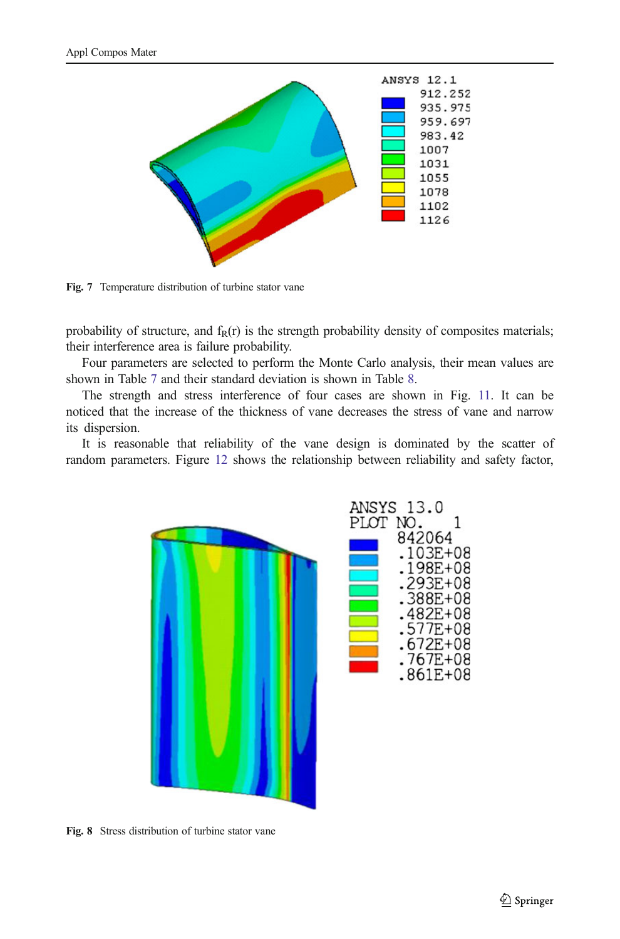<span id="page-10-0"></span>

Fig. 7 Temperature distribution of turbine stator vane

probability of structure, and  $f_R(r)$  is the strength probability density of composites materials; their interference area is failure probability.

Four parameters are selected to perform the Monte Carlo analysis, their mean values are shown in Table [7](#page-11-0) and their standard deviation is shown in Table [8.](#page-12-0)

The strength and stress interference of four cases are shown in Fig. [11.](#page-12-0) It can be noticed that the increase of the thickness of vane decreases the stress of vane and narrow its dispersion.

It is reasonable that reliability of the vane design is dominated by the scatter of random parameters. Figure [12](#page-13-0) shows the relationship between reliability and safety factor,



Fig. 8 Stress distribution of turbine stator vane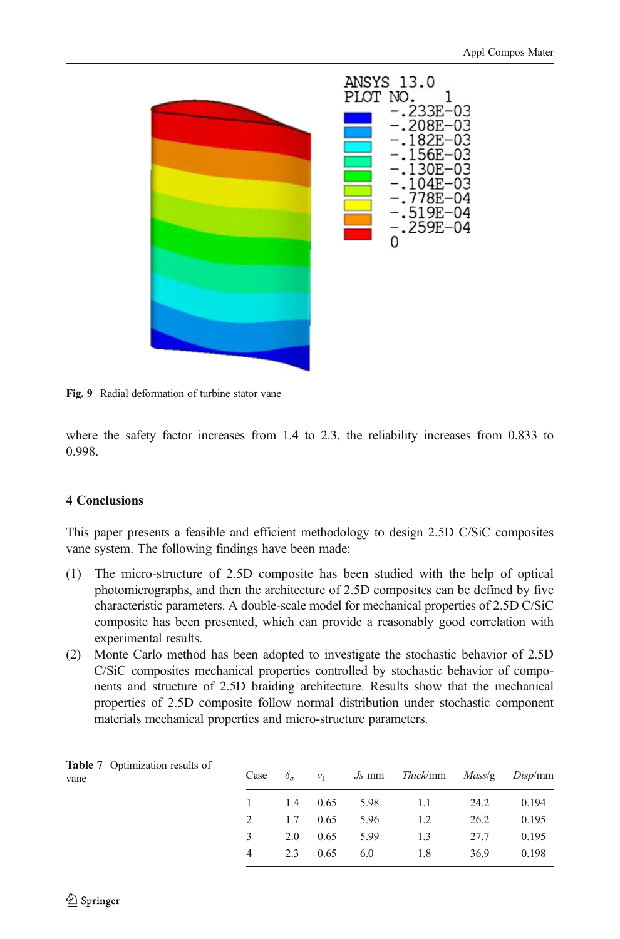<span id="page-11-0"></span>

Fig. 9 Radial deformation of turbine stator vane

where the safety factor increases from 1.4 to 2.3, the reliability increases from 0.833 to 0.998.

# 4 Conclusions

This paper presents a feasible and efficient methodology to design 2.5D C/SiC composites vane system. The following findings have been made:

- (1) The micro-structure of 2.5D composite has been studied with the help of optical photomicrographs, and then the architecture of 2.5D composites can be defined by five characteristic parameters. A double-scale model for mechanical properties of 2.5D C/SiC composite has been presented, which can provide a reasonably good correlation with experimental results.
- (2) Monte Carlo method has been adopted to investigate the stochastic behavior of 2.5D C/SiC composites mechanical properties controlled by stochastic behavior of components and structure of 2.5D braiding architecture. Results show that the mechanical properties of 2.5D composite follow normal distribution under stochastic component materials mechanical properties and micro-structure parameters.

| <b>Table 7</b> Optimization results of<br>vane | Case | $\delta_{\sigma}$ |      |      | $v_f$ <i>Js</i> mm <i>Thick/mm Mass/g Disp/mm</i> |      |       |
|------------------------------------------------|------|-------------------|------|------|---------------------------------------------------|------|-------|
|                                                |      | 1.4               | 0.65 |      | 5.98 1.1                                          | 24.2 | 0.194 |
|                                                | 2    | 1.7               | 0.65 | 5.96 | 1.2                                               | 26.2 | 0.195 |
|                                                | 3    | 2.0               | 0.65 | 5.99 | 1.3                                               | 27.7 | 0.195 |
|                                                | 4    | 2.3               | 0.65 | 6.0  | 1.8                                               | 36.9 | 0.198 |
|                                                |      |                   |      |      |                                                   |      |       |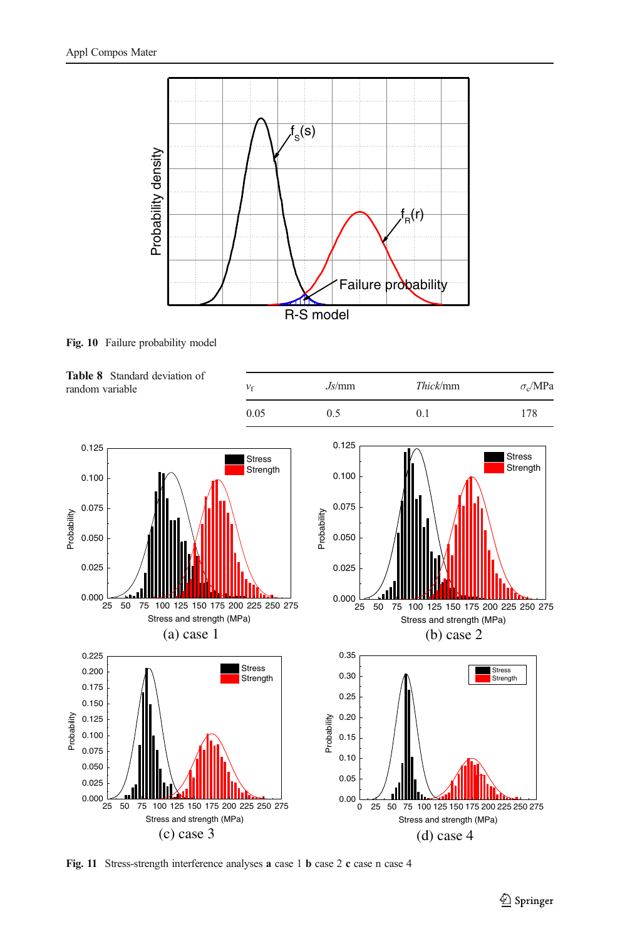<span id="page-12-0"></span>

Fig. 10 Failure probability model



Fig. 11 Stress-strength interference analyses a case 1 b case 2 c case n case 4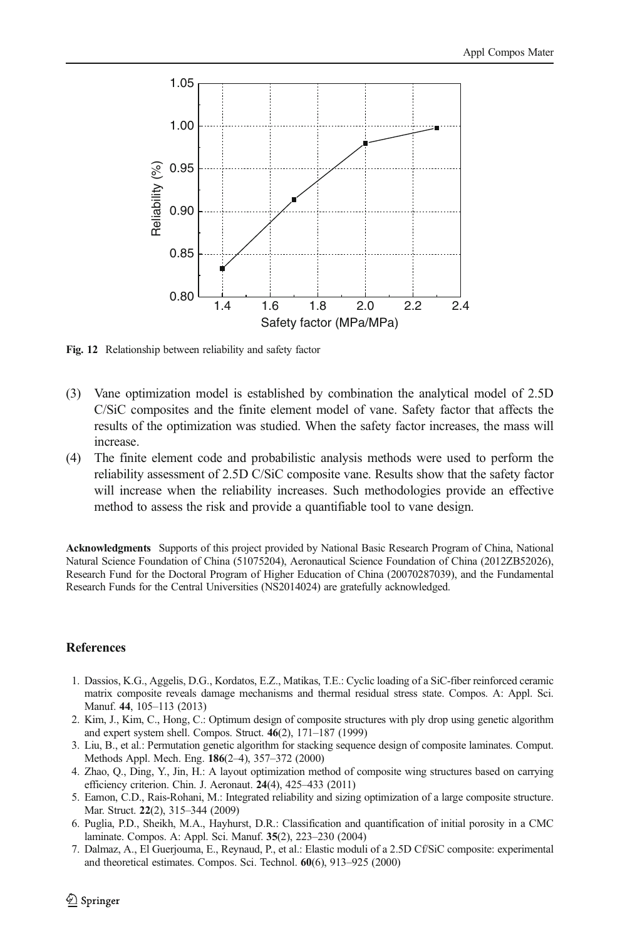<span id="page-13-0"></span>

Fig. 12 Relationship between reliability and safety factor

- (3) Vane optimization model is established by combination the analytical model of 2.5D C/SiC composites and the finite element model of vane. Safety factor that affects the results of the optimization was studied. When the safety factor increases, the mass will increase.
- (4) The finite element code and probabilistic analysis methods were used to perform the reliability assessment of 2.5D C/SiC composite vane. Results show that the safety factor will increase when the reliability increases. Such methodologies provide an effective method to assess the risk and provide a quantifiable tool to vane design.

Acknowledgments Supports of this project provided by National Basic Research Program of China, National Natural Science Foundation of China (51075204), Aeronautical Science Foundation of China (2012ZB52026), Research Fund for the Doctoral Program of Higher Education of China (20070287039), and the Fundamental Research Funds for the Central Universities (NS2014024) are gratefully acknowledged.

#### **References**

- 1. Dassios, K.G., Aggelis, D.G., Kordatos, E.Z., Matikas, T.E.: Cyclic loading of a SiC-fiber reinforced ceramic matrix composite reveals damage mechanisms and thermal residual stress state. Compos. A: Appl. Sci. Manuf. 44, 105–113 (2013)
- 2. Kim, J., Kim, C., Hong, C.: Optimum design of composite structures with ply drop using genetic algorithm and expert system shell. Compos. Struct. 46(2), 171–187 (1999)
- 3. Liu, B., et al.: Permutation genetic algorithm for stacking sequence design of composite laminates. Comput. Methods Appl. Mech. Eng. 186(2–4), 357–372 (2000)
- 4. Zhao, Q., Ding, Y., Jin, H.: A layout optimization method of composite wing structures based on carrying efficiency criterion. Chin. J. Aeronaut. 24(4), 425–433 (2011)
- 5. Eamon, C.D., Rais-Rohani, M.: Integrated reliability and sizing optimization of a large composite structure. Mar. Struct. 22(2), 315–344 (2009)
- 6. Puglia, P.D., Sheikh, M.A., Hayhurst, D.R.: Classification and quantification of initial porosity in a CMC laminate. Compos. A: Appl. Sci. Manuf. 35(2), 223–230 (2004)
- 7. Dalmaz, A., El Guerjouma, E., Reynaud, P., et al.: Elastic moduli of a 2.5D Cf/SiC composite: experimental and theoretical estimates. Compos. Sci. Technol. 60(6), 913–925 (2000)